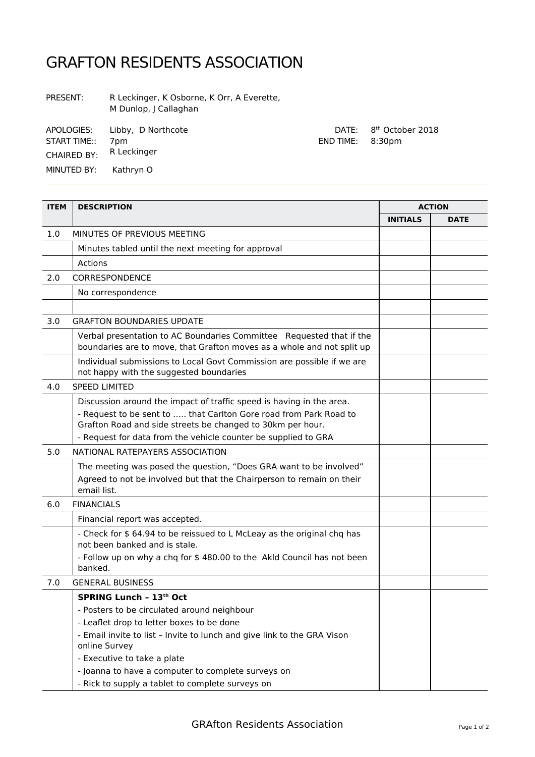## GRAFTON RESIDENTS ASSOCIATION

PRESENT: R Leckinger, K Osborne, K Orr, A Everette, M Dunlop, J Callaghan

APOLOGIES: Libby, D Northcote DATE:

START TIME:: 7pm

CHAIRED BY: R Leckinger

MINUTED BY: Kathryn O

| <b>ITEM</b> | <b>DESCRIPTION</b>                                                                                                                                                                                                                                                        |                 | <b>ACTION</b> |
|-------------|---------------------------------------------------------------------------------------------------------------------------------------------------------------------------------------------------------------------------------------------------------------------------|-----------------|---------------|
|             |                                                                                                                                                                                                                                                                           | <b>INITIALS</b> | <b>DATE</b>   |
| 1.0         | MINUTES OF PREVIOUS MEETING                                                                                                                                                                                                                                               |                 |               |
|             | Minutes tabled until the next meeting for approval                                                                                                                                                                                                                        |                 |               |
|             | Actions                                                                                                                                                                                                                                                                   |                 |               |
| 2.0         | CORRESPONDENCE                                                                                                                                                                                                                                                            |                 |               |
|             | No correspondence                                                                                                                                                                                                                                                         |                 |               |
|             |                                                                                                                                                                                                                                                                           |                 |               |
| 3.0         | <b>GRAFTON BOUNDARIES UPDATE</b>                                                                                                                                                                                                                                          |                 |               |
|             | Verbal presentation to AC Boundaries Committee Requested that if the<br>boundaries are to move, that Grafton moves as a whole and not split up                                                                                                                            |                 |               |
|             | Individual submissions to Local Govt Commission are possible if we are<br>not happy with the suggested boundaries                                                                                                                                                         |                 |               |
| 4.0         | <b>SPEED LIMITED</b>                                                                                                                                                                                                                                                      |                 |               |
|             | Discussion around the impact of traffic speed is having in the area.<br>- Request to be sent to  that Carlton Gore road from Park Road to<br>Grafton Road and side streets be changed to 30km per hour.<br>- Request for data from the vehicle counter be supplied to GRA |                 |               |
| 5.0         | NATIONAL RATEPAYERS ASSOCIATION                                                                                                                                                                                                                                           |                 |               |
|             | The meeting was posed the question, "Does GRA want to be involved"<br>Agreed to not be involved but that the Chairperson to remain on their<br>email list.                                                                                                                |                 |               |
| 6.0         | <b>FINANCIALS</b>                                                                                                                                                                                                                                                         |                 |               |
|             | Financial report was accepted.                                                                                                                                                                                                                                            |                 |               |
|             | - Check for \$ 64.94 to be reissued to L McLeay as the original chq has<br>not been banked and is stale.                                                                                                                                                                  |                 |               |
|             | - Follow up on why a chq for \$480.00 to the Akld Council has not been<br>banked.                                                                                                                                                                                         |                 |               |
| 7.0         | <b>GENERAL BUSINESS</b>                                                                                                                                                                                                                                                   |                 |               |
|             | SPRING Lunch - 13th Oct                                                                                                                                                                                                                                                   |                 |               |
|             | - Posters to be circulated around neighbour                                                                                                                                                                                                                               |                 |               |
|             | - Leaflet drop to letter boxes to be done                                                                                                                                                                                                                                 |                 |               |
|             | - Email invite to list - Invite to lunch and give link to the GRA Vison<br>online Survey                                                                                                                                                                                  |                 |               |
|             | - Executive to take a plate                                                                                                                                                                                                                                               |                 |               |
|             | - Joanna to have a computer to complete surveys on<br>- Rick to supply a tablet to complete surveys on                                                                                                                                                                    |                 |               |

8<sup>th</sup> October 2018

END TIME: 8:30pm